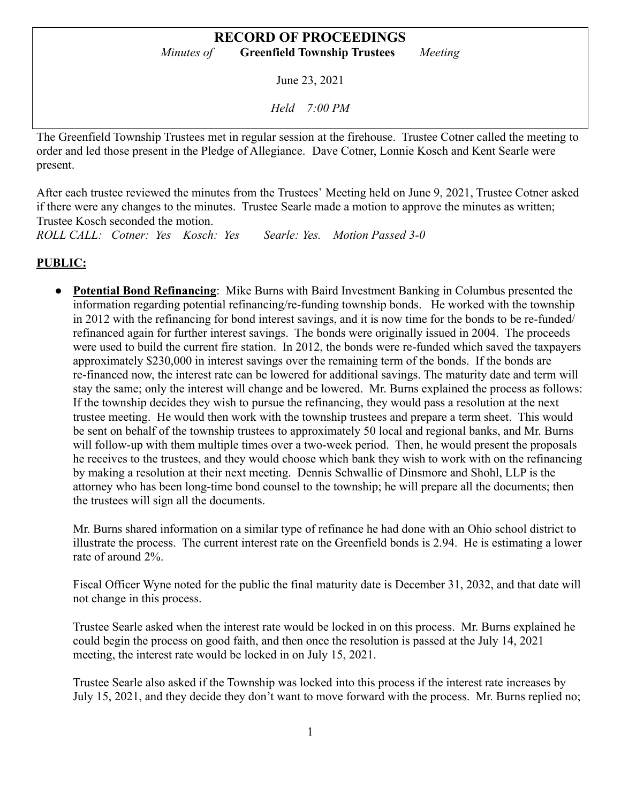June 23, 2021

*Held 7:00 PM*

The Greenfield Township Trustees met in regular session at the firehouse. Trustee Cotner called the meeting to order and led those present in the Pledge of Allegiance. Dave Cotner, Lonnie Kosch and Kent Searle were present.

After each trustee reviewed the minutes from the Trustees' Meeting held on June 9, 2021, Trustee Cotner asked if there were any changes to the minutes. Trustee Searle made a motion to approve the minutes as written; Trustee Kosch seconded the motion.

*ROLL CALL: Cotner: Yes Kosch: Yes Searle: Yes. Motion Passed 3-0*

# **PUBLIC:**

● **Potential Bond Refinancing**: Mike Burns with Baird Investment Banking in Columbus presented the information regarding potential refinancing/re-funding township bonds. He worked with the township in 2012 with the refinancing for bond interest savings, and it is now time for the bonds to be re-funded/ refinanced again for further interest savings. The bonds were originally issued in 2004. The proceeds were used to build the current fire station. In 2012, the bonds were re-funded which saved the taxpayers approximately \$230,000 in interest savings over the remaining term of the bonds. If the bonds are re-financed now, the interest rate can be lowered for additional savings. The maturity date and term will stay the same; only the interest will change and be lowered. Mr. Burns explained the process as follows: If the township decides they wish to pursue the refinancing, they would pass a resolution at the next trustee meeting. He would then work with the township trustees and prepare a term sheet. This would be sent on behalf of the township trustees to approximately 50 local and regional banks, and Mr. Burns will follow-up with them multiple times over a two-week period. Then, he would present the proposals he receives to the trustees, and they would choose which bank they wish to work with on the refinancing by making a resolution at their next meeting. Dennis Schwallie of Dinsmore and Shohl, LLP is the attorney who has been long-time bond counsel to the township; he will prepare all the documents; then the trustees will sign all the documents.

Mr. Burns shared information on a similar type of refinance he had done with an Ohio school district to illustrate the process. The current interest rate on the Greenfield bonds is 2.94. He is estimating a lower rate of around 2%.

Fiscal Officer Wyne noted for the public the final maturity date is December 31, 2032, and that date will not change in this process.

Trustee Searle asked when the interest rate would be locked in on this process. Mr. Burns explained he could begin the process on good faith, and then once the resolution is passed at the July 14, 2021 meeting, the interest rate would be locked in on July 15, 2021.

Trustee Searle also asked if the Township was locked into this process if the interest rate increases by July 15, 2021, and they decide they don't want to move forward with the process. Mr. Burns replied no;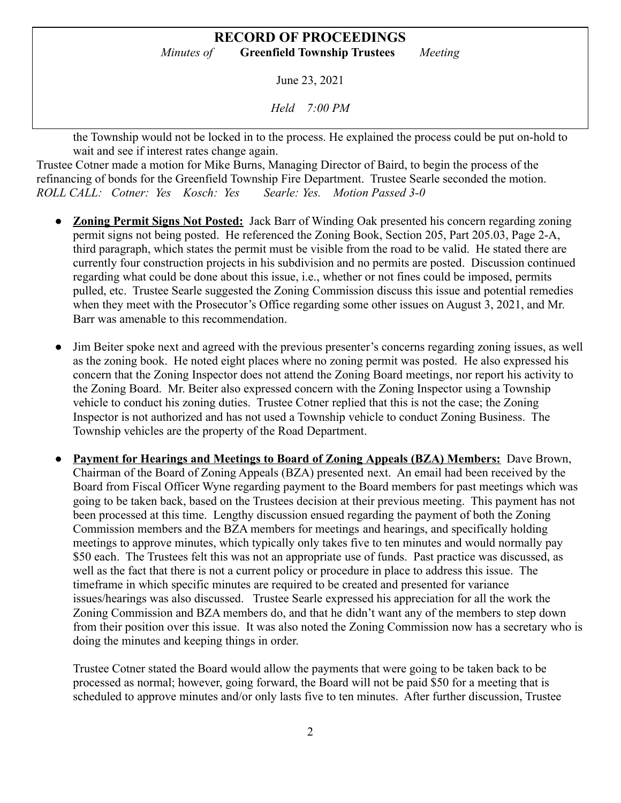June 23, 2021

*Held 7:00 PM*

the Township would not be locked in to the process. He explained the process could be put on-hold to wait and see if interest rates change again.

Trustee Cotner made a motion for Mike Burns, Managing Director of Baird, to begin the process of the refinancing of bonds for the Greenfield Township Fire Department. Trustee Searle seconded the motion. *ROLL CALL: Cotner: Yes Kosch: Yes Searle: Yes. Motion Passed 3-0*

- **Zoning Permit Signs Not Posted:** Jack Barr of Winding Oak presented his concern regarding zoning permit signs not being posted. He referenced the Zoning Book, Section 205, Part 205.03, Page 2-A, third paragraph, which states the permit must be visible from the road to be valid. He stated there are currently four construction projects in his subdivision and no permits are posted. Discussion continued regarding what could be done about this issue, i.e., whether or not fines could be imposed, permits pulled, etc. Trustee Searle suggested the Zoning Commission discuss this issue and potential remedies when they meet with the Prosecutor's Office regarding some other issues on August 3, 2021, and Mr. Barr was amenable to this recommendation.
- Jim Beiter spoke next and agreed with the previous presenter's concerns regarding zoning issues, as well as the zoning book. He noted eight places where no zoning permit was posted. He also expressed his concern that the Zoning Inspector does not attend the Zoning Board meetings, nor report his activity to the Zoning Board. Mr. Beiter also expressed concern with the Zoning Inspector using a Township vehicle to conduct his zoning duties. Trustee Cotner replied that this is not the case; the Zoning Inspector is not authorized and has not used a Township vehicle to conduct Zoning Business. The Township vehicles are the property of the Road Department.
- **Payment for Hearings and Meetings to Board of Zoning Appeals (BZA) Members:** Dave Brown, Chairman of the Board of Zoning Appeals (BZA) presented next. An email had been received by the Board from Fiscal Officer Wyne regarding payment to the Board members for past meetings which was going to be taken back, based on the Trustees decision at their previous meeting. This payment has not been processed at this time. Lengthy discussion ensued regarding the payment of both the Zoning Commission members and the BZA members for meetings and hearings, and specifically holding meetings to approve minutes, which typically only takes five to ten minutes and would normally pay \$50 each. The Trustees felt this was not an appropriate use of funds. Past practice was discussed, as well as the fact that there is not a current policy or procedure in place to address this issue. The timeframe in which specific minutes are required to be created and presented for variance issues/hearings was also discussed. Trustee Searle expressed his appreciation for all the work the Zoning Commission and BZA members do, and that he didn't want any of the members to step down from their position over this issue. It was also noted the Zoning Commission now has a secretary who is doing the minutes and keeping things in order.

Trustee Cotner stated the Board would allow the payments that were going to be taken back to be processed as normal; however, going forward, the Board will not be paid \$50 for a meeting that is scheduled to approve minutes and/or only lasts five to ten minutes. After further discussion, Trustee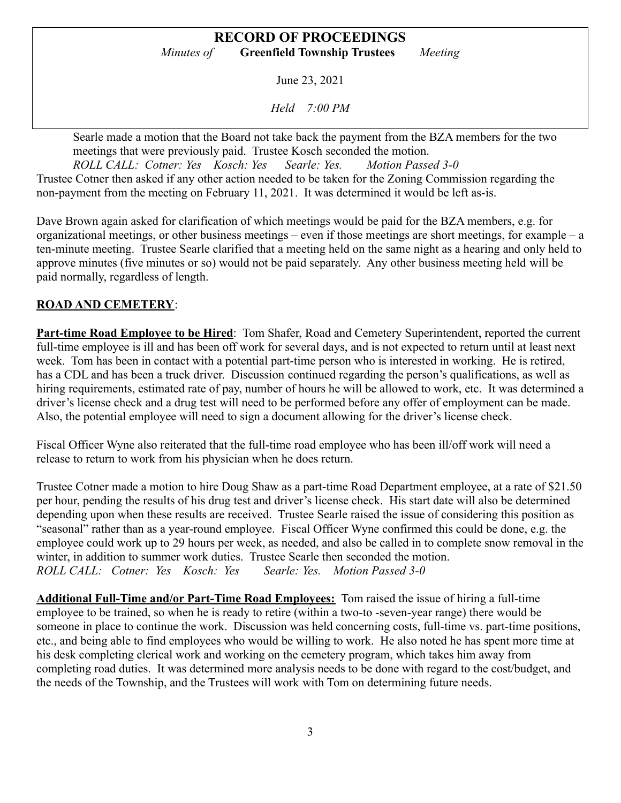June 23, 2021

*Held 7:00 PM*

Searle made a motion that the Board not take back the payment from the BZA members for the two meetings that were previously paid. Trustee Kosch seconded the motion.

*ROLL CALL: Cotner: Yes Kosch: Yes Searle: Yes. Motion Passed 3-0* Trustee Cotner then asked if any other action needed to be taken for the Zoning Commission regarding the non-payment from the meeting on February 11, 2021. It was determined it would be left as-is.

Dave Brown again asked for clarification of which meetings would be paid for the BZA members, e.g. for organizational meetings, or other business meetings – even if those meetings are short meetings, for example – a ten-minute meeting. Trustee Searle clarified that a meeting held on the same night as a hearing and only held to approve minutes (five minutes or so) would not be paid separately. Any other business meeting held will be paid normally, regardless of length.

# **ROAD AND CEMETERY**:

**Part-time Road Employee to be Hired**: Tom Shafer, Road and Cemetery Superintendent, reported the current full-time employee is ill and has been off work for several days, and is not expected to return until at least next week. Tom has been in contact with a potential part-time person who is interested in working. He is retired, has a CDL and has been a truck driver. Discussion continued regarding the person's qualifications, as well as hiring requirements, estimated rate of pay, number of hours he will be allowed to work, etc. It was determined a driver's license check and a drug test will need to be performed before any offer of employment can be made. Also, the potential employee will need to sign a document allowing for the driver's license check.

Fiscal Officer Wyne also reiterated that the full-time road employee who has been ill/off work will need a release to return to work from his physician when he does return.

Trustee Cotner made a motion to hire Doug Shaw as a part-time Road Department employee, at a rate of \$21.50 per hour, pending the results of his drug test and driver's license check. His start date will also be determined depending upon when these results are received. Trustee Searle raised the issue of considering this position as "seasonal" rather than as a year-round employee. Fiscal Officer Wyne confirmed this could be done, e.g. the employee could work up to 29 hours per week, as needed, and also be called in to complete snow removal in the winter, in addition to summer work duties. Trustee Searle then seconded the motion. *ROLL CALL: Cotner: Yes Kosch: Yes Searle: Yes. Motion Passed 3-0*

**Additional Full-Time and/or Part-Time Road Employees:** Tom raised the issue of hiring a full-time employee to be trained, so when he is ready to retire (within a two-to -seven-year range) there would be someone in place to continue the work. Discussion was held concerning costs, full-time vs. part-time positions, etc., and being able to find employees who would be willing to work. He also noted he has spent more time at his desk completing clerical work and working on the cemetery program, which takes him away from completing road duties. It was determined more analysis needs to be done with regard to the cost/budget, and the needs of the Township, and the Trustees will work with Tom on determining future needs.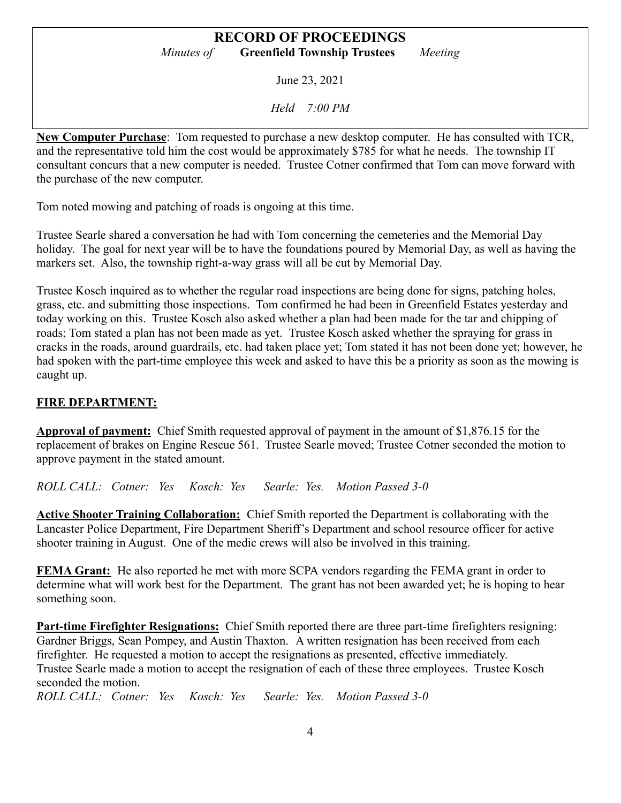June 23, 2021

*Held 7:00 PM*

**New Computer Purchase**: Tom requested to purchase a new desktop computer. He has consulted with TCR, and the representative told him the cost would be approximately \$785 for what he needs. The township IT consultant concurs that a new computer is needed. Trustee Cotner confirmed that Tom can move forward with the purchase of the new computer.

Tom noted mowing and patching of roads is ongoing at this time.

Trustee Searle shared a conversation he had with Tom concerning the cemeteries and the Memorial Day holiday. The goal for next year will be to have the foundations poured by Memorial Day, as well as having the markers set. Also, the township right-a-way grass will all be cut by Memorial Day.

Trustee Kosch inquired as to whether the regular road inspections are being done for signs, patching holes, grass, etc. and submitting those inspections. Tom confirmed he had been in Greenfield Estates yesterday and today working on this. Trustee Kosch also asked whether a plan had been made for the tar and chipping of roads; Tom stated a plan has not been made as yet. Trustee Kosch asked whether the spraying for grass in cracks in the roads, around guardrails, etc. had taken place yet; Tom stated it has not been done yet; however, he had spoken with the part-time employee this week and asked to have this be a priority as soon as the mowing is caught up.

## **FIRE DEPARTMENT:**

**Approval of payment:** Chief Smith requested approval of payment in the amount of \$1,876.15 for the replacement of brakes on Engine Rescue 561. Trustee Searle moved; Trustee Cotner seconded the motion to approve payment in the stated amount.

*ROLL CALL: Cotner: Yes Kosch: Yes Searle: Yes. Motion Passed 3-0*

**Active Shooter Training Collaboration:** Chief Smith reported the Department is collaborating with the Lancaster Police Department, Fire Department Sheriff's Department and school resource officer for active shooter training in August. One of the medic crews will also be involved in this training.

**FEMA Grant:** He also reported he met with more SCPA vendors regarding the FEMA grant in order to determine what will work best for the Department. The grant has not been awarded yet; he is hoping to hear something soon.

**Part-time Firefighter Resignations:** Chief Smith reported there are three part-time firefighters resigning: Gardner Briggs, Sean Pompey, and Austin Thaxton. A written resignation has been received from each firefighter. He requested a motion to accept the resignations as presented, effective immediately. Trustee Searle made a motion to accept the resignation of each of these three employees. Trustee Kosch seconded the motion.

*ROLL CALL: Cotner: Yes Kosch: Yes Searle: Yes. Motion Passed 3-0*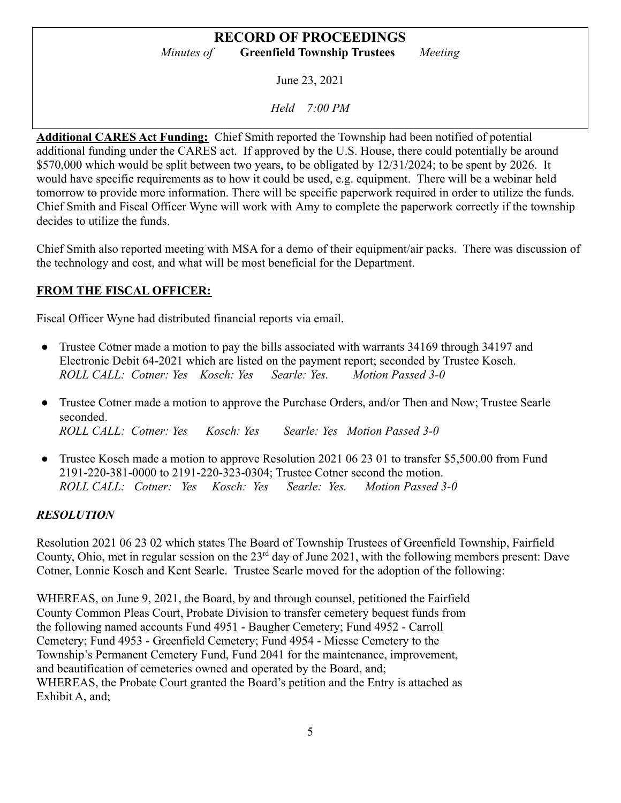June 23, 2021

*Held 7:00 PM*

**Additional CARES Act Funding:** Chief Smith reported the Township had been notified of potential additional funding under the CARES act. If approved by the U.S. House, there could potentially be around \$570,000 which would be split between two years, to be obligated by  $12/31/2024$ ; to be spent by 2026. It would have specific requirements as to how it could be used, e.g. equipment. There will be a webinar held tomorrow to provide more information. There will be specific paperwork required in order to utilize the funds. Chief Smith and Fiscal Officer Wyne will work with Amy to complete the paperwork correctly if the township decides to utilize the funds.

Chief Smith also reported meeting with MSA for a demo of their equipment/air packs. There was discussion of the technology and cost, and what will be most beneficial for the Department.

## **FROM THE FISCAL OFFICER:**

Fiscal Officer Wyne had distributed financial reports via email.

- Trustee Cotner made a motion to pay the bills associated with warrants 34169 through 34197 and Electronic Debit 64-2021 which are listed on the payment report; seconded by Trustee Kosch. *ROLL CALL: Cotner: Yes Kosch: Yes Searle: Yes. Motion Passed 3-0*
- Trustee Cotner made a motion to approve the Purchase Orders, and/or Then and Now; Trustee Searle seconded. *ROLL CALL: Cotner: Yes Kosch: Yes Searle: Yes Motion Passed 3-0*
- Trustee Kosch made a motion to approve Resolution 2021 06 23 01 to transfer \$5,500.00 from Fund 2191-220-381-0000 to 2191-220-323-0304; Trustee Cotner second the motion. *ROLL CALL: Cotner: Yes Kosch: Yes Searle: Yes. Motion Passed 3-0*

#### *RESOLUTION*

Resolution 2021 06 23 02 which states The Board of Township Trustees of Greenfield Township, Fairfield County, Ohio, met in regular session on the  $23<sup>rd</sup>$  day of June 2021, with the following members present: Dave Cotner, Lonnie Kosch and Kent Searle. Trustee Searle moved for the adoption of the following:

WHEREAS, on June 9, 2021, the Board, by and through counsel, petitioned the Fairfield County Common Pleas Court, Probate Division to transfer cemetery bequest funds from the following named accounts Fund 4951 - Baugher Cemetery; Fund 4952 - Carroll Cemetery; Fund 4953 - Greenfield Cemetery; Fund 4954 - Miesse Cemetery to the Township's Permanent Cemetery Fund, Fund 2041 for the maintenance, improvement, and beautification of cemeteries owned and operated by the Board, and; WHEREAS, the Probate Court granted the Board's petition and the Entry is attached as Exhibit A, and;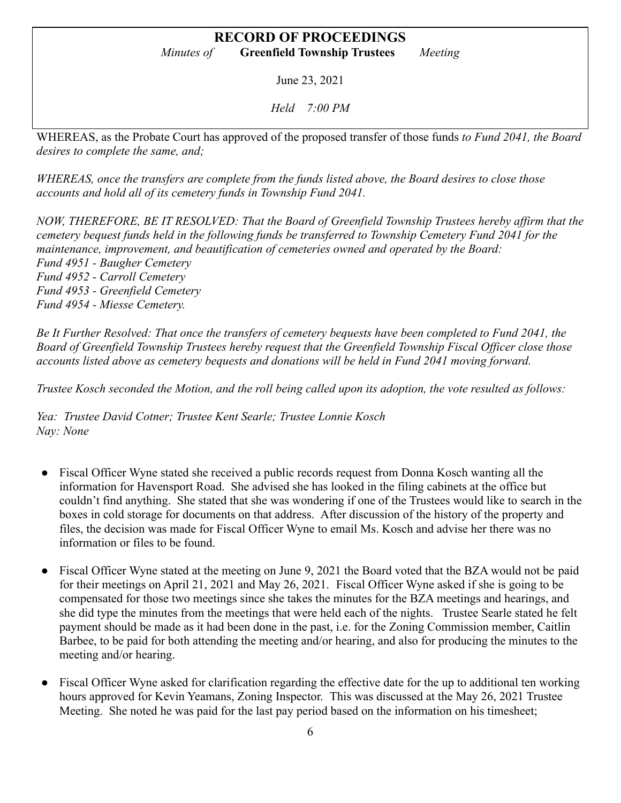June 23, 2021

*Held 7:00 PM*

WHEREAS, as the Probate Court has approved of the proposed transfer of those funds *to Fund 2041, the Board desires to complete the same, and;*

*WHEREAS, once the transfers are complete from the funds listed above, the Board desires to close those accounts and hold all of its cemetery funds in Township Fund 2041.*

*NOW, THEREFORE, BE IT RESOLVED: That the Board of Greenfield Township Trustees hereby affirm that the cemetery bequest funds held in the following funds be transferred to Township Cemetery Fund 2041 for the maintenance, improvement, and beautification of cemeteries owned and operated by the Board: Fund 4951 - Baugher Cemetery Fund 4952 - Carroll Cemetery Fund 4953 - Greenfield Cemetery Fund 4954 - Miesse Cemetery.*

*Be It Further Resolved: That once the transfers of cemetery bequests have been completed to Fund 2041, the Board of Greenfield Township Trustees hereby request that the Greenfield Township Fiscal Officer close those accounts listed above as cemetery bequests and donations will be held in Fund 2041 moving forward.*

*Trustee Kosch seconded the Motion, and the roll being called upon its adoption, the vote resulted as follows:*

*Yea: Trustee David Cotner; Trustee Kent Searle; Trustee Lonnie Kosch Nay: None*

- Fiscal Officer Wyne stated she received a public records request from Donna Kosch wanting all the information for Havensport Road. She advised she has looked in the filing cabinets at the office but couldn't find anything. She stated that she was wondering if one of the Trustees would like to search in the boxes in cold storage for documents on that address. After discussion of the history of the property and files, the decision was made for Fiscal Officer Wyne to email Ms. Kosch and advise her there was no information or files to be found.
- Fiscal Officer Wyne stated at the meeting on June 9, 2021 the Board voted that the BZA would not be paid for their meetings on April 21, 2021 and May 26, 2021. Fiscal Officer Wyne asked if she is going to be compensated for those two meetings since she takes the minutes for the BZA meetings and hearings, and she did type the minutes from the meetings that were held each of the nights. Trustee Searle stated he felt payment should be made as it had been done in the past, i.e. for the Zoning Commission member, Caitlin Barbee, to be paid for both attending the meeting and/or hearing, and also for producing the minutes to the meeting and/or hearing.
- Fiscal Officer Wyne asked for clarification regarding the effective date for the up to additional ten working hours approved for Kevin Yeamans, Zoning Inspector. This was discussed at the May 26, 2021 Trustee Meeting. She noted he was paid for the last pay period based on the information on his timesheet;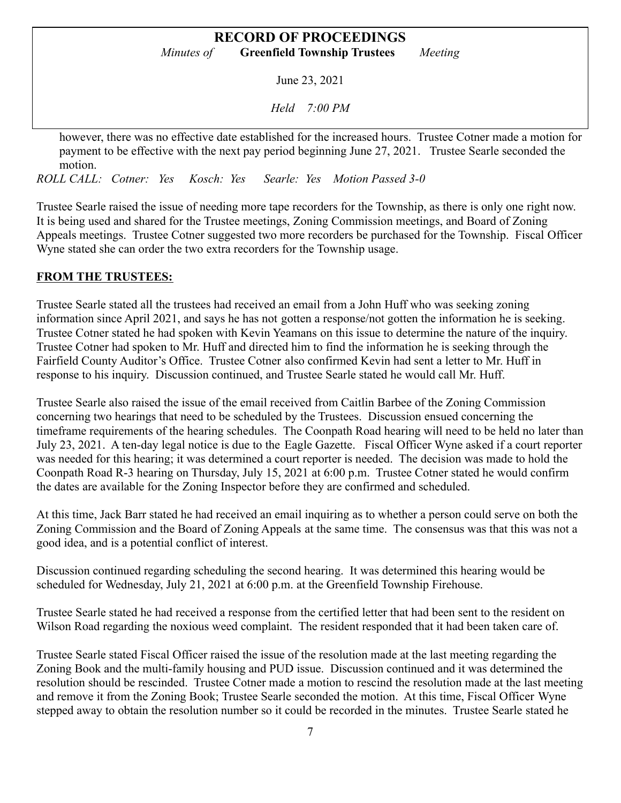June 23, 2021

*Held 7:00 PM*

however, there was no effective date established for the increased hours. Trustee Cotner made a motion for payment to be effective with the next pay period beginning June 27, 2021. Trustee Searle seconded the motion.

*ROLL CALL: Cotner: Yes Kosch: Yes Searle: Yes Motion Passed 3-0*

Trustee Searle raised the issue of needing more tape recorders for the Township, as there is only one right now. It is being used and shared for the Trustee meetings, Zoning Commission meetings, and Board of Zoning Appeals meetings. Trustee Cotner suggested two more recorders be purchased for the Township. Fiscal Officer Wyne stated she can order the two extra recorders for the Township usage.

## **FROM THE TRUSTEES:**

Trustee Searle stated all the trustees had received an email from a John Huff who was seeking zoning information since April 2021, and says he has not gotten a response/not gotten the information he is seeking. Trustee Cotner stated he had spoken with Kevin Yeamans on this issue to determine the nature of the inquiry. Trustee Cotner had spoken to Mr. Huff and directed him to find the information he is seeking through the Fairfield County Auditor's Office. Trustee Cotner also confirmed Kevin had sent a letter to Mr. Huff in response to his inquiry. Discussion continued, and Trustee Searle stated he would call Mr. Huff.

Trustee Searle also raised the issue of the email received from Caitlin Barbee of the Zoning Commission concerning two hearings that need to be scheduled by the Trustees. Discussion ensued concerning the timeframe requirements of the hearing schedules. The Coonpath Road hearing will need to be held no later than July 23, 2021. A ten-day legal notice is due to the Eagle Gazette. Fiscal Officer Wyne asked if a court reporter was needed for this hearing; it was determined a court reporter is needed. The decision was made to hold the Coonpath Road R-3 hearing on Thursday, July 15, 2021 at 6:00 p.m. Trustee Cotner stated he would confirm the dates are available for the Zoning Inspector before they are confirmed and scheduled.

At this time, Jack Barr stated he had received an email inquiring as to whether a person could serve on both the Zoning Commission and the Board of Zoning Appeals at the same time. The consensus was that this was not a good idea, and is a potential conflict of interest.

Discussion continued regarding scheduling the second hearing. It was determined this hearing would be scheduled for Wednesday, July 21, 2021 at 6:00 p.m. at the Greenfield Township Firehouse.

Trustee Searle stated he had received a response from the certified letter that had been sent to the resident on Wilson Road regarding the noxious weed complaint. The resident responded that it had been taken care of.

Trustee Searle stated Fiscal Officer raised the issue of the resolution made at the last meeting regarding the Zoning Book and the multi-family housing and PUD issue. Discussion continued and it was determined the resolution should be rescinded. Trustee Cotner made a motion to rescind the resolution made at the last meeting and remove it from the Zoning Book; Trustee Searle seconded the motion. At this time, Fiscal Officer Wyne stepped away to obtain the resolution number so it could be recorded in the minutes. Trustee Searle stated he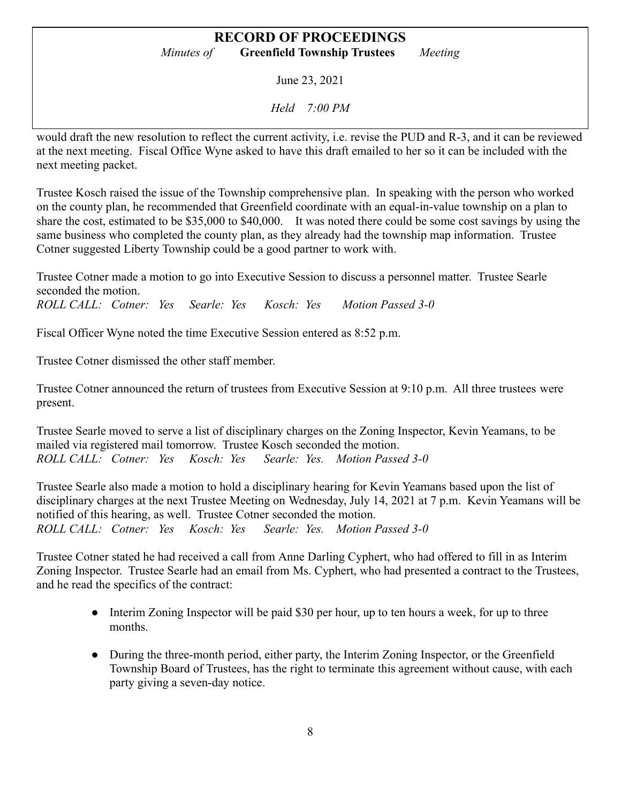June 23, 2021

*Held 7:00 PM*

would draft the new resolution to reflect the current activity, i.e. revise the PUD and R-3, and it can be reviewed at the next meeting. Fiscal Office Wyne asked to have this draft emailed to her so it can be included with the next meeting packet.

Trustee Kosch raised the issue of the Township comprehensive plan. In speaking with the person who worked on the county plan, he recommended that Greenfield coordinate with an equal-in-value township on a plan to share the cost, estimated to be \$35,000 to \$40,000. It was noted there could be some cost savings by using the same business who completed the county plan, as they already had the township map information. Trustee Cotner suggested Liberty Township could be a good partner to work with.

Trustee Cotner made a motion to go into Executive Session to discuss a personnel matter. Trustee Searle seconded the motion.

*ROLL CALL: Cotner: Yes Searle: Yes Kosch: Yes Motion Passed 3-0*

Fiscal Officer Wyne noted the time Executive Session entered as 8:52 p.m.

Trustee Cotner dismissed the other staff member.

Trustee Cotner announced the return of trustees from Executive Session at 9:10 p.m. All three trustees were present.

Trustee Searle moved to serve a list of disciplinary charges on the Zoning Inspector, Kevin Yeamans, to be mailed via registered mail tomorrow. Trustee Kosch seconded the motion. *ROLL CALL: Cotner: Yes Kosch: Yes Searle: Yes. Motion Passed 3-0*

Trustee Searle also made a motion to hold a disciplinary hearing for Kevin Yeamans based upon the list of disciplinary charges at the next Trustee Meeting on Wednesday, July 14, 2021 at 7 p.m. Kevin Yeamans will be notified of this hearing, as well. Trustee Cotner seconded the motion. *ROLL CALL: Cotner: Yes Kosch: Yes Searle: Yes. Motion Passed 3-0*

Trustee Cotner stated he had received a call from Anne Darling Cyphert, who had offered to fill in as Interim Zoning Inspector. Trustee Searle had an email from Ms. Cyphert, who had presented a contract to the Trustees, and he read the specifics of the contract:

- Interim Zoning Inspector will be paid \$30 per hour, up to ten hours a week, for up to three months.
- During the three-month period, either party, the Interim Zoning Inspector, or the Greenfield Township Board of Trustees, has the right to terminate this agreement without cause, with each party giving a seven-day notice.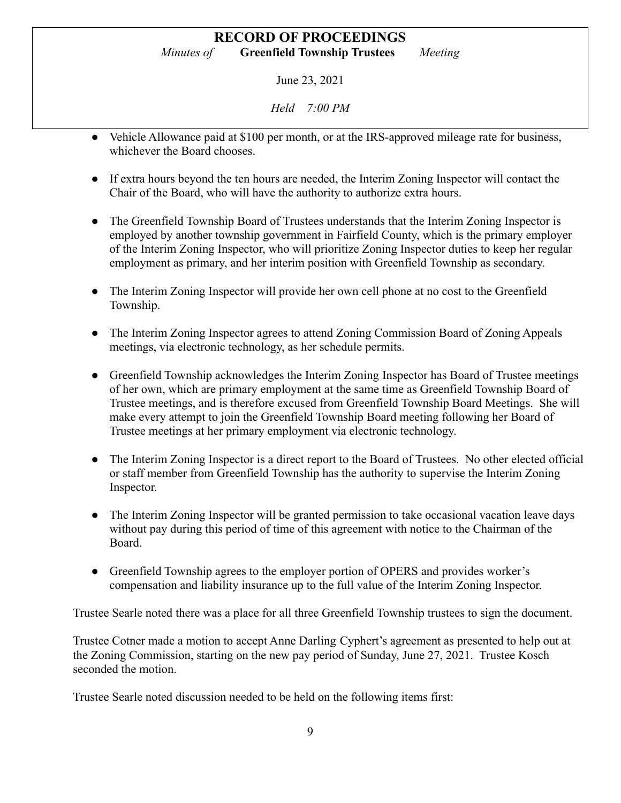June 23, 2021

*Held 7:00 PM*

- Vehicle Allowance paid at \$100 per month, or at the IRS-approved mileage rate for business, whichever the Board chooses.
- If extra hours beyond the ten hours are needed, the Interim Zoning Inspector will contact the Chair of the Board, who will have the authority to authorize extra hours.
- The Greenfield Township Board of Trustees understands that the Interim Zoning Inspector is employed by another township government in Fairfield County, which is the primary employer of the Interim Zoning Inspector, who will prioritize Zoning Inspector duties to keep her regular employment as primary, and her interim position with Greenfield Township as secondary.
- The Interim Zoning Inspector will provide her own cell phone at no cost to the Greenfield Township.
- The Interim Zoning Inspector agrees to attend Zoning Commission Board of Zoning Appeals meetings, via electronic technology, as her schedule permits.
- Greenfield Township acknowledges the Interim Zoning Inspector has Board of Trustee meetings of her own, which are primary employment at the same time as Greenfield Township Board of Trustee meetings, and is therefore excused from Greenfield Township Board Meetings. She will make every attempt to join the Greenfield Township Board meeting following her Board of Trustee meetings at her primary employment via electronic technology.
- The Interim Zoning Inspector is a direct report to the Board of Trustees. No other elected official or staff member from Greenfield Township has the authority to supervise the Interim Zoning Inspector.
- The Interim Zoning Inspector will be granted permission to take occasional vacation leave days without pay during this period of time of this agreement with notice to the Chairman of the Board.
- Greenfield Township agrees to the employer portion of OPERS and provides worker's compensation and liability insurance up to the full value of the Interim Zoning Inspector.

Trustee Searle noted there was a place for all three Greenfield Township trustees to sign the document.

Trustee Cotner made a motion to accept Anne Darling Cyphert's agreement as presented to help out at the Zoning Commission, starting on the new pay period of Sunday, June 27, 2021. Trustee Kosch seconded the motion.

Trustee Searle noted discussion needed to be held on the following items first: